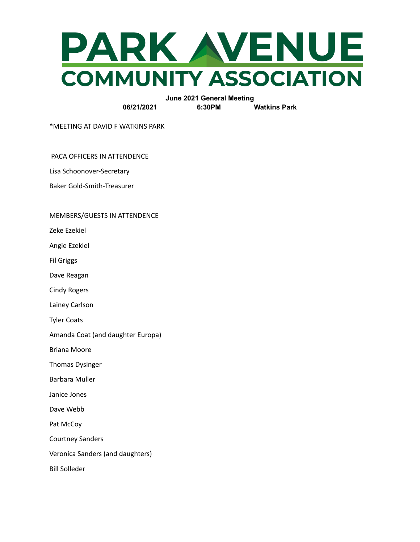

**June 2021 General Meeting 06/21/2021 6:30PM Watkins Park**

\*MEETING AT DAVID F WATKINS PARK

PACA OFFICERS IN ATTENDENCE

Lisa Schoonover-Secretary

Baker Gold-Smith-Treasurer

### MEMBERS/GUESTS IN ATTENDENCE

Zeke Ezekiel

Angie Ezekiel

Fil Griggs

Dave Reagan

Cindy Rogers

Lainey Carlson

Tyler Coats

Amanda Coat (and daughter Europa)

Briana Moore

Thomas Dysinger

Barbara Muller

Janice Jones

Dave Webb

Pat McCoy

Courtney Sanders

Veronica Sanders (and daughters)

Bill Solleder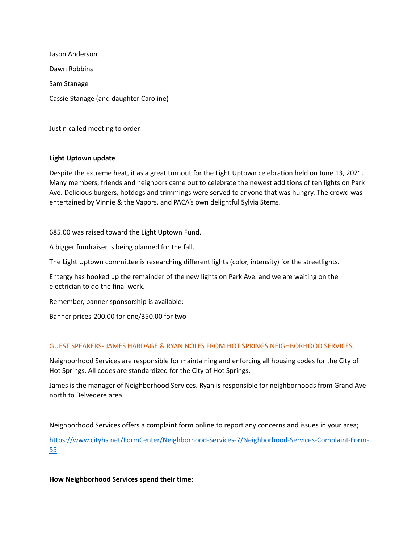Jason Anderson Dawn Robbins Sam Stanage Cassie Stanage (and daughter Caroline)

Justin called meeting to order.

# **Light Uptown update**

Despite the extreme heat, it as a great turnout for the Light Uptown celebration held on June 13, 2021. Many members, friends and neighbors came out to celebrate the newest additions of ten lights on Park Ave. Delicious burgers, hotdogs and trimmings were served to anyone that was hungry. The crowd was entertained by Vinnie & the Vapors, and PACA's own delightful Sylvia Stems.

685.00 was raised toward the Light Uptown Fund.

A bigger fundraiser is being planned for the fall.

The Light Uptown committee is researching different lights (color, intensity) for the streetlights.

Entergy has hooked up the remainder of the new lights on Park Ave. and we are waiting on the electrician to do the final work.

Remember, banner sponsorship is available:

Banner prices-200.00 for one/350.00 for two

# GUEST SPEAKERS- JAMES HARDAGE & RYAN NOLES FROM HOT SPRINGS NEIGHBORHOOD SERVICES.

Neighborhood Services are responsible for maintaining and enforcing all housing codes for the City of Hot Springs. All codes are standardized for the City of Hot Springs.

James is the manager of Neighborhood Services. Ryan is responsible for neighborhoods from Grand Ave north to Belvedere area.

Neighborhood Services offers a complaint form online to report any concerns and issues in your area;

[https://www.cityhs.net/FormCenter/Neighborhood-Services-7/Neighborhood-Services-Complaint-Form-](https://www.cityhs.net/FormCenter/Neighborhood-Services-7/Neighborhood-Services-Complaint-Form-55)[55](https://www.cityhs.net/FormCenter/Neighborhood-Services-7/Neighborhood-Services-Complaint-Form-55)

**How Neighborhood Services spend their time:**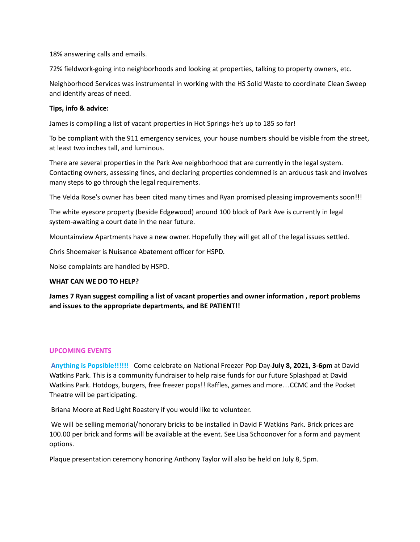18% answering calls and emails.

72% fieldwork-going into neighborhoods and looking at properties, talking to property owners, etc.

Neighborhood Services was instrumental in working with the HS Solid Waste to coordinate Clean Sweep and identify areas of need.

### **Tips, info & advice:**

James is compiling a list of vacant properties in Hot Springs-he's up to 185 so far!

To be compliant with the 911 emergency services, your house numbers should be visible from the street, at least two inches tall, and luminous.

There are several properties in the Park Ave neighborhood that are currently in the legal system. Contacting owners, assessing fines, and declaring properties condemned is an arduous task and involves many steps to go through the legal requirements.

The Velda Rose's owner has been cited many times and Ryan promised pleasing improvements soon!!!

The white eyesore property (beside Edgewood) around 100 block of Park Ave is currently in legal system-awaiting a court date in the near future.

Mountainview Apartments have a new owner. Hopefully they will get all of the legal issues settled.

Chris Shoemaker is Nuisance Abatement officer for HSPD.

Noise complaints are handled by HSPD.

### **WHAT CAN WE DO TO HELP?**

**James 7 Ryan suggest compiling a list of vacant properties and owner information , report problems and issues to the appropriate departments, and BE PATIENT!!**

# **UPCOMING EVENTS**

**Anything is Popsible!!!!!!** Come celebrate on National Freezer Pop Day-**July 8, 2021, 3-6pm** at David Watkins Park. This is a community fundraiser to help raise funds for our future Splashpad at David Watkins Park. Hotdogs, burgers, free freezer pops!! Raffles, games and more…CCMC and the Pocket Theatre will be participating.

Briana Moore at Red Light Roastery if you would like to volunteer.

We will be selling memorial/honorary bricks to be installed in David F Watkins Park. Brick prices are 100.00 per brick and forms will be available at the event. See Lisa Schoonover for a form and payment options.

Plaque presentation ceremony honoring Anthony Taylor will also be held on July 8, 5pm.